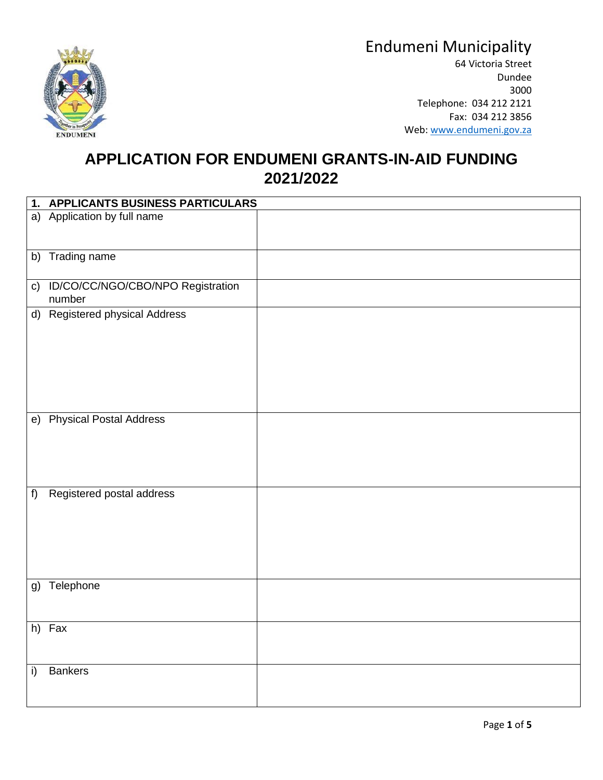



64 Victoria Street Dundee 3000 Telephone: 034 212 2121 Fax: 034 212 3856 Web: [www.endumeni.gov.za](http://www.endumeni.gov.za/)

#### **APPLICATION FOR ENDUMENI GRANTS-IN-AID FUNDING 2021/2022**

|    | 1. APPLICANTS BUSINESS PARTICULARS             |  |
|----|------------------------------------------------|--|
|    | a) Application by full name                    |  |
|    | b) Trading name                                |  |
|    | c) ID/CO/CC/NGO/CBO/NPO Registration<br>number |  |
|    | d) Registered physical Address                 |  |
|    | e) Physical Postal Address                     |  |
| f) | Registered postal address                      |  |
|    | g) Telephone                                   |  |
|    | h) Fax                                         |  |
| i) | <b>Bankers</b>                                 |  |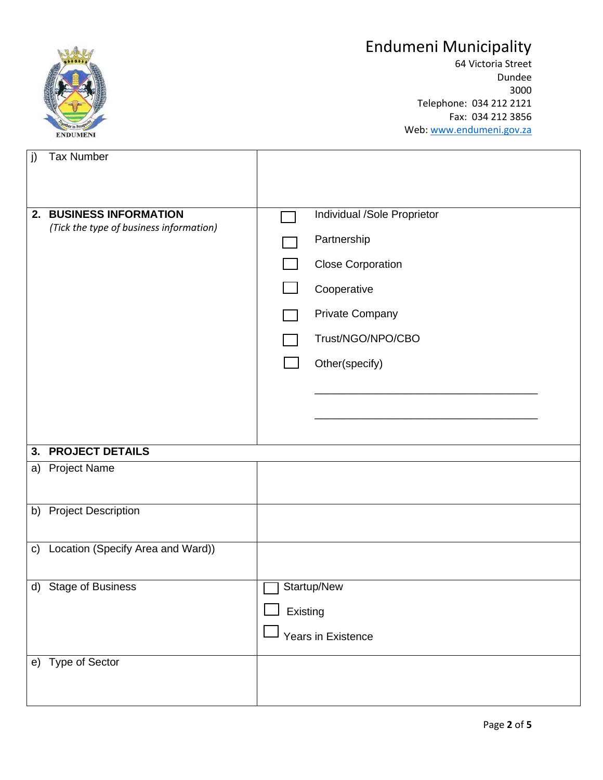

64 Victoria Street Dundee 3000 Telephone: 034 212 2121 Fax: 034 212 3856 Web: [www.endumeni.gov.za](http://www.endumeni.gov.za/)

| j)            | <b>Tax Number</b>                                                  |                    |                                                                                                                                                        |  |  |
|---------------|--------------------------------------------------------------------|--------------------|--------------------------------------------------------------------------------------------------------------------------------------------------------|--|--|
|               |                                                                    |                    |                                                                                                                                                        |  |  |
|               | 2. BUSINESS INFORMATION<br>(Tick the type of business information) |                    | Individual /Sole Proprietor<br>Partnership<br><b>Close Corporation</b><br>Cooperative<br><b>Private Company</b><br>Trust/NGO/NPO/CBO<br>Other(specify) |  |  |
| 3.            | <b>PROJECT DETAILS</b>                                             |                    |                                                                                                                                                        |  |  |
| a)            | <b>Project Name</b>                                                |                    |                                                                                                                                                        |  |  |
|               |                                                                    |                    |                                                                                                                                                        |  |  |
| b)            | <b>Project Description</b>                                         |                    |                                                                                                                                                        |  |  |
| $\mathsf{c})$ | Location (Specify Area and Ward))                                  |                    |                                                                                                                                                        |  |  |
|               |                                                                    |                    |                                                                                                                                                        |  |  |
|               | d) Stage of Business                                               | Startup/New        |                                                                                                                                                        |  |  |
|               |                                                                    | Existing           |                                                                                                                                                        |  |  |
|               |                                                                    | Years in Existence |                                                                                                                                                        |  |  |
|               | e) Type of Sector                                                  |                    |                                                                                                                                                        |  |  |
|               |                                                                    |                    |                                                                                                                                                        |  |  |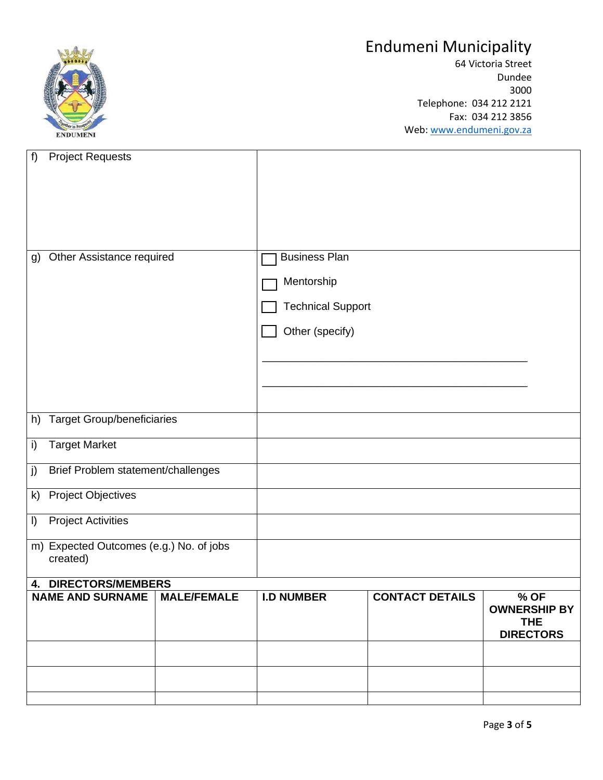

64 Victoria Street Dundee 3000 Telephone: 034 212 2121 Fax: 034 212 3856 Web: [www.endumeni.gov.za](http://www.endumeni.gov.za/)

| $f$ )                                    | <b>Project Requests</b>           |                    |                          |                        |                             |
|------------------------------------------|-----------------------------------|--------------------|--------------------------|------------------------|-----------------------------|
|                                          |                                   |                    |                          |                        |                             |
|                                          |                                   |                    |                          |                        |                             |
|                                          |                                   |                    |                          |                        |                             |
|                                          |                                   |                    |                          |                        |                             |
|                                          |                                   |                    |                          |                        |                             |
| g)                                       | Other Assistance required         |                    | <b>Business Plan</b>     |                        |                             |
|                                          |                                   |                    | Mentorship               |                        |                             |
|                                          |                                   |                    | <b>Technical Support</b> |                        |                             |
|                                          |                                   |                    |                          |                        |                             |
|                                          |                                   |                    | Other (specify)          |                        |                             |
|                                          |                                   |                    |                          |                        |                             |
|                                          |                                   |                    |                          |                        |                             |
|                                          |                                   |                    |                          |                        |                             |
| h)                                       | <b>Target Group/beneficiaries</b> |                    |                          |                        |                             |
|                                          |                                   |                    |                          |                        |                             |
| i)                                       | <b>Target Market</b>              |                    |                          |                        |                             |
| j)<br>Brief Problem statement/challenges |                                   |                    |                          |                        |                             |
| $\mathsf{k}$                             | <b>Project Objectives</b>         |                    |                          |                        |                             |
| $\vert$                                  | <b>Project Activities</b>         |                    |                          |                        |                             |
| m) Expected Outcomes (e.g.) No. of jobs  |                                   |                    |                          |                        |                             |
|                                          | created)                          |                    |                          |                        |                             |
| 4. DIRECTORS/MEMBERS                     |                                   |                    |                          |                        |                             |
|                                          | <b>NAME AND SURNAME</b>           | <b>MALE/FEMALE</b> | <b>I.D NUMBER</b>        | <b>CONTACT DETAILS</b> | % OF<br><b>OWNERSHIP BY</b> |
|                                          |                                   |                    |                          |                        | <b>THE</b>                  |
|                                          |                                   |                    |                          |                        | <b>DIRECTORS</b>            |
|                                          |                                   |                    |                          |                        |                             |
|                                          |                                   |                    |                          |                        |                             |
|                                          |                                   |                    |                          |                        |                             |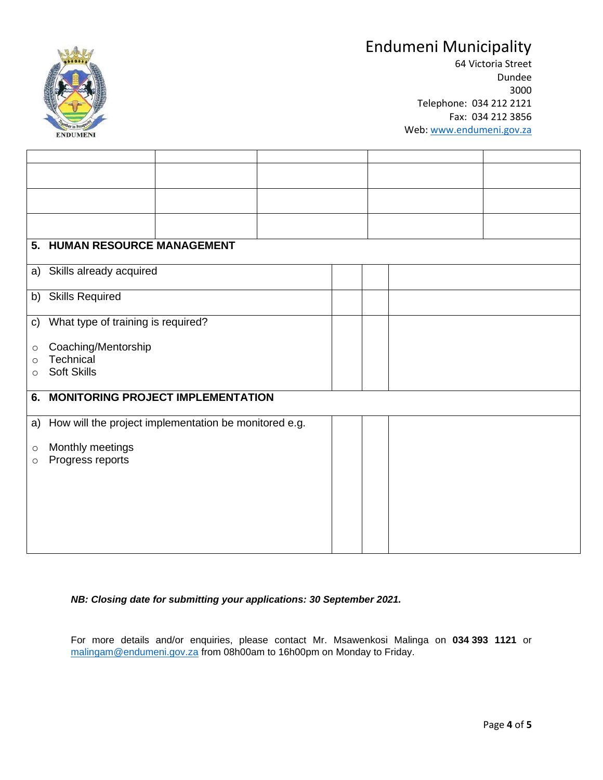

64 Victoria Street Dundee 3000 Telephone: 034 212 2121 Fax: 034 212 3856 Web: [www.endumeni.gov.za](http://www.endumeni.gov.za/)

| 5.                 | <b>HUMAN RESOURCE MANAGEMENT</b>                      |  |  |  |  |  |  |  |
|--------------------|-------------------------------------------------------|--|--|--|--|--|--|--|
|                    | a) Skills already acquired                            |  |  |  |  |  |  |  |
|                    | b) Skills Required                                    |  |  |  |  |  |  |  |
| $\mathsf{c}$       | What type of training is required?                    |  |  |  |  |  |  |  |
| $\circ$            | Coaching/Mentorship                                   |  |  |  |  |  |  |  |
| $\circ$<br>$\circ$ | Technical<br>Soft Skills                              |  |  |  |  |  |  |  |
|                    |                                                       |  |  |  |  |  |  |  |
|                    | <b>MONITORING PROJECT IMPLEMENTATION</b><br>6.        |  |  |  |  |  |  |  |
| a)                 | How will the project implementation be monitored e.g. |  |  |  |  |  |  |  |
| $\circ$            | Monthly meetings                                      |  |  |  |  |  |  |  |
| $\circ$            | Progress reports                                      |  |  |  |  |  |  |  |
|                    |                                                       |  |  |  |  |  |  |  |
|                    |                                                       |  |  |  |  |  |  |  |
|                    |                                                       |  |  |  |  |  |  |  |
|                    |                                                       |  |  |  |  |  |  |  |

*NB: Closing date for submitting your applications: 30 September 2021.*

For more details and/or enquiries, please contact Mr. Msawenkosi Malinga on **034 393 1121** or [malingam@endumeni.gov.za](mailto:malingam@endumeni.gov.za) from 08h00am to 16h00pm on Monday to Friday.